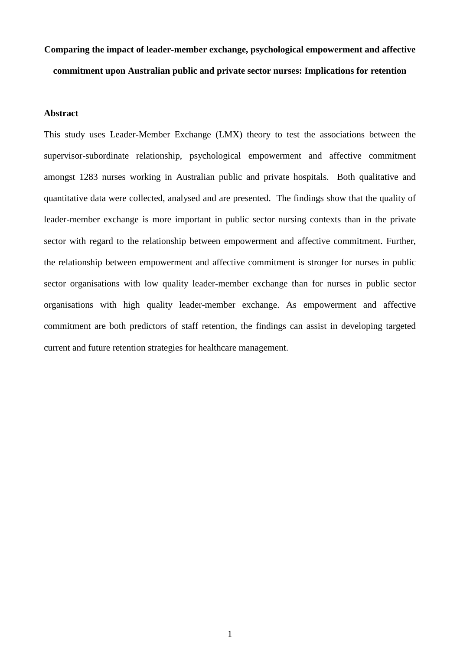# **Comparing the impact of leader-member exchange, psychological empowerment and affective commitment upon Australian public and private sector nurses: Implications for retention**

#### **Abstract**

This study uses Leader-Member Exchange (LMX) theory to test the associations between the supervisor-subordinate relationship, psychological empowerment and affective commitment amongst 1283 nurses working in Australian public and private hospitals. Both qualitative and quantitative data were collected, analysed and are presented. The findings show that the quality of leader-member exchange is more important in public sector nursing contexts than in the private sector with regard to the relationship between empowerment and affective commitment. Further, the relationship between empowerment and affective commitment is stronger for nurses in public sector organisations with low quality leader-member exchange than for nurses in public sector organisations with high quality leader-member exchange. As empowerment and affective commitment are both predictors of staff retention, the findings can assist in developing targeted current and future retention strategies for healthcare management.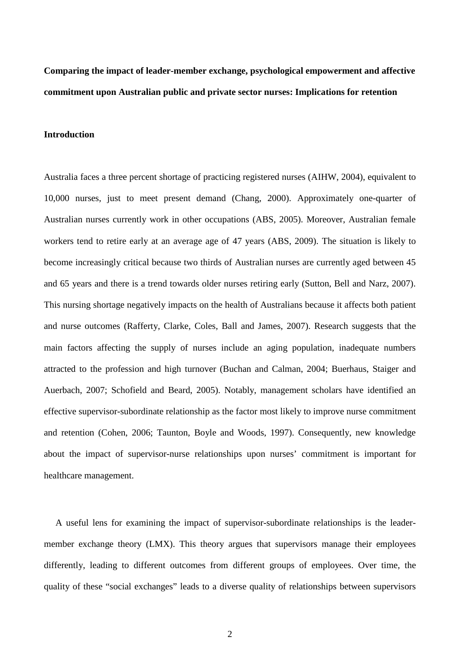**Comparing the impact of leader-member exchange, psychological empowerment and affective commitment upon Australian public and private sector nurses: Implications for retention**

# **Introduction**

Australia faces a three percent shortage of practicing registered nurses (AIHW, 2004), equivalent to 10,000 nurses, just to meet present demand (Chang, 2000). Approximately one-quarter of Australian nurses currently work in other occupations (ABS, 2005). Moreover, Australian female workers tend to retire early at an average age of 47 years (ABS, 2009). The situation is likely to become increasingly critical because two thirds of Australian nurses are currently aged between 45 and 65 years and there is a trend towards older nurses retiring early (Sutton, Bell and Narz, 2007). This nursing shortage negatively impacts on the health of Australians because it affects both patient and nurse outcomes (Rafferty, Clarke, Coles, Ball and James, 2007). Research suggests that the main factors affecting the supply of nurses include an aging population, inadequate numbers attracted to the profession and high turnover (Buchan and Calman, 2004; Buerhaus, Staiger and Auerbach, 2007; Schofield and Beard, 2005). Notably, management scholars have identified an effective supervisor-subordinate relationship as the factor most likely to improve nurse commitment and retention (Cohen, 2006; Taunton, Boyle and Woods, 1997). Consequently, new knowledge about the impact of supervisor-nurse relationships upon nurses' commitment is important for healthcare management.

 A useful lens for examining the impact of supervisor-subordinate relationships is the leadermember exchange theory (LMX). This theory argues that supervisors manage their employees differently, leading to different outcomes from different groups of employees. Over time, the quality of these "social exchanges" leads to a diverse quality of relationships between supervisors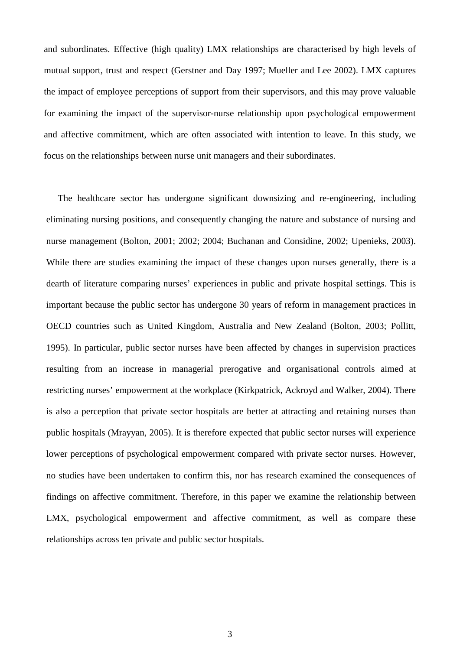and subordinates. Effective (high quality) LMX relationships are characterised by high levels of mutual support, trust and respect (Gerstner and Day 1997; Mueller and Lee 2002). LMX captures the impact of employee perceptions of support from their supervisors, and this may prove valuable for examining the impact of the supervisor-nurse relationship upon psychological empowerment and affective commitment, which are often associated with intention to leave. In this study, we focus on the relationships between nurse unit managers and their subordinates.

 The healthcare sector has undergone significant downsizing and re-engineering, including eliminating nursing positions, and consequently changing the nature and substance of nursing and nurse management (Bolton, 2001; 2002; 2004; Buchanan and Considine, 2002; Upenieks, 2003). While there are studies examining the impact of these changes upon nurses generally, there is a dearth of literature comparing nurses' experiences in public and private hospital settings. This is important because the public sector has undergone 30 years of reform in management practices in OECD countries such as United Kingdom, Australia and New Zealand (Bolton, 2003; Pollitt, 1995). In particular, public sector nurses have been affected by changes in supervision practices resulting from an increase in managerial prerogative and organisational controls aimed at restricting nurses' empowerment at the workplace (Kirkpatrick, Ackroyd and Walker, 2004). There is also a perception that private sector hospitals are better at attracting and retaining nurses than public hospitals (Mrayyan, 2005). It is therefore expected that public sector nurses will experience lower perceptions of psychological empowerment compared with private sector nurses. However, no studies have been undertaken to confirm this, nor has research examined the consequences of findings on affective commitment. Therefore, in this paper we examine the relationship between LMX, psychological empowerment and affective commitment, as well as compare these relationships across ten private and public sector hospitals.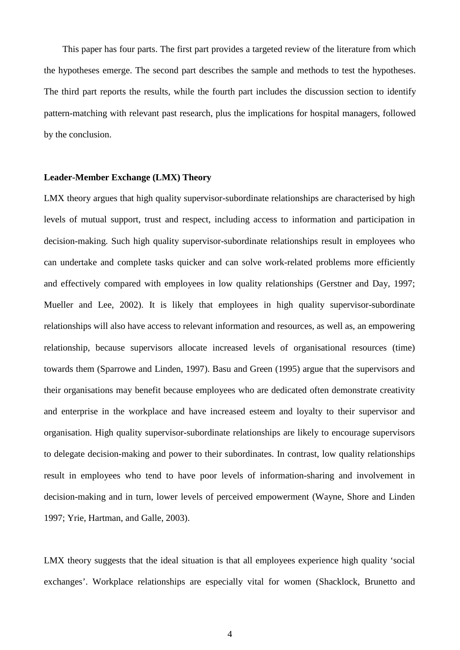This paper has four parts. The first part provides a targeted review of the literature from which the hypotheses emerge. The second part describes the sample and methods to test the hypotheses. The third part reports the results, while the fourth part includes the discussion section to identify pattern-matching with relevant past research, plus the implications for hospital managers, followed by the conclusion.

#### **Leader-Member Exchange (LMX) Theory**

LMX theory argues that high quality supervisor-subordinate relationships are characterised by high levels of mutual support, trust and respect, including access to information and participation in decision-making. Such high quality supervisor-subordinate relationships result in employees who can undertake and complete tasks quicker and can solve work-related problems more efficiently and effectively compared with employees in low quality relationships (Gerstner and Day, 1997; Mueller and Lee, 2002). It is likely that employees in high quality supervisor-subordinate relationships will also have access to relevant information and resources, as well as, an empowering relationship, because supervisors allocate increased levels of organisational resources (time) towards them (Sparrowe and Linden, 1997). Basu and Green (1995) argue that the supervisors and their organisations may benefit because employees who are dedicated often demonstrate creativity and enterprise in the workplace and have increased esteem and loyalty to their supervisor and organisation. High quality supervisor-subordinate relationships are likely to encourage supervisors to delegate decision-making and power to their subordinates. In contrast, low quality relationships result in employees who tend to have poor levels of information-sharing and involvement in decision-making and in turn, lower levels of perceived empowerment (Wayne, Shore and Linden 1997; Yrie, Hartman, and Galle, 2003).

LMX theory suggests that the ideal situation is that all employees experience high quality 'social exchanges'. Workplace relationships are especially vital for women (Shacklock, Brunetto and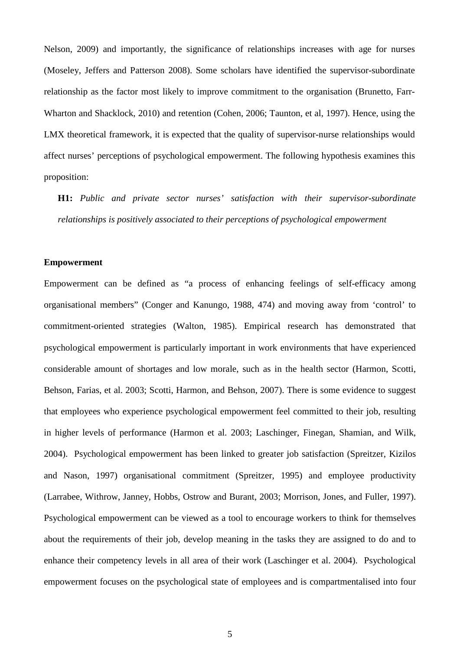Nelson, 2009) and importantly, the significance of relationships increases with age for nurses (Moseley, Jeffers and Patterson 2008). Some scholars have identified the supervisor-subordinate relationship as the factor most likely to improve commitment to the organisation (Brunetto, Farr-Wharton and Shacklock, 2010) and retention (Cohen, 2006; Taunton, et al, 1997). Hence, using the LMX theoretical framework, it is expected that the quality of supervisor-nurse relationships would affect nurses' perceptions of psychological empowerment. The following hypothesis examines this proposition:

**H1:** *Public and private sector nurses' satisfaction with their supervisor-subordinate relationships is positively associated to their perceptions of psychological empowerment*

#### **Empowerment**

Empowerment can be defined as "a process of enhancing feelings of self-efficacy among organisational members" (Conger and Kanungo, 1988, 474) and moving away from 'control' to commitment-oriented strategies (Walton, 1985). Empirical research has demonstrated that psychological empowerment is particularly important in work environments that have experienced considerable amount of shortages and low morale, such as in the health sector (Harmon, Scotti, Behson, Farias, et al. 2003; Scotti, Harmon, and Behson, 2007). There is some evidence to suggest that employees who experience psychological empowerment feel committed to their job, resulting in higher levels of performance (Harmon et al. 2003; Laschinger, Finegan, Shamian, and Wilk, 2004). Psychological empowerment has been linked to greater job satisfaction (Spreitzer, Kizilos and Nason, 1997) organisational commitment (Spreitzer, 1995) and employee productivity (Larrabee, Withrow, Janney, Hobbs, Ostrow and Burant, 2003; Morrison, Jones, and Fuller, 1997). Psychological empowerment can be viewed as a tool to encourage workers to think for themselves about the requirements of their job, develop meaning in the tasks they are assigned to do and to enhance their competency levels in all area of their work (Laschinger et al. 2004). Psychological empowerment focuses on the psychological state of employees and is compartmentalised into four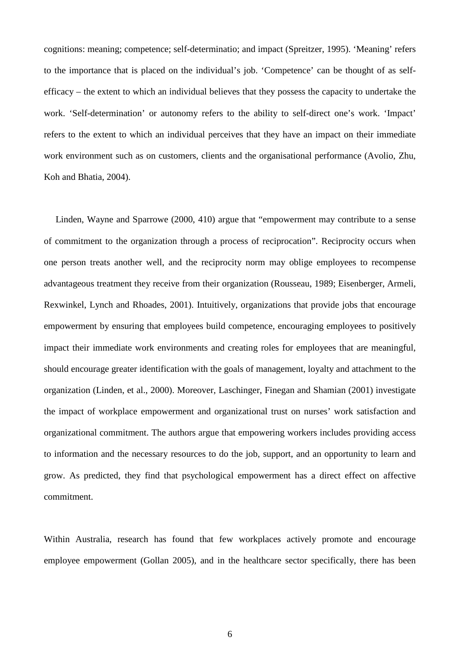cognitions: meaning; competence; self-determinatio; and impact (Spreitzer, 1995). 'Meaning' refers to the importance that is placed on the individual's job. 'Competence' can be thought of as selfefficacy – the extent to which an individual believes that they possess the capacity to undertake the work. 'Self-determination' or autonomy refers to the ability to self-direct one's work. 'Impact' refers to the extent to which an individual perceives that they have an impact on their immediate work environment such as on customers, clients and the organisational performance (Avolio, Zhu, Koh and Bhatia, 2004).

 Linden, Wayne and Sparrowe (2000, 410) argue that "empowerment may contribute to a sense of commitment to the organization through a process of reciprocation". Reciprocity occurs when one person treats another well, and the reciprocity norm may oblige employees to recompense advantageous treatment they receive from their organization (Rousseau, 1989; Eisenberger, Armeli, Rexwinkel, Lynch and Rhoades, 2001). Intuitively, organizations that provide jobs that encourage empowerment by ensuring that employees build competence, encouraging employees to positively impact their immediate work environments and creating roles for employees that are meaningful, should encourage greater identification with the goals of management, loyalty and attachment to the organization (Linden, et al., 2000). Moreover, Laschinger, Finegan and Shamian (2001) investigate the impact of workplace empowerment and organizational trust on nurses' work satisfaction and organizational commitment. The authors argue that empowering workers includes providing access to information and the necessary resources to do the job, support, and an opportunity to learn and grow. As predicted, they find that psychological empowerment has a direct effect on affective commitment.

Within Australia, research has found that few workplaces actively promote and encourage employee empowerment (Gollan 2005), and in the healthcare sector specifically, there has been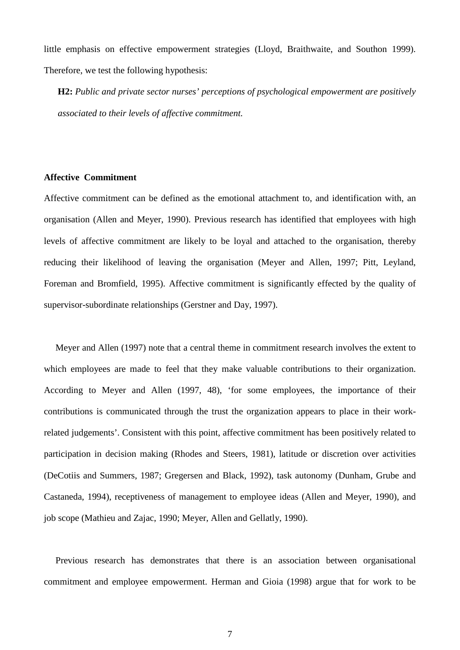little emphasis on effective empowerment strategies (Lloyd, Braithwaite, and Southon 1999). Therefore, we test the following hypothesis:

**H2:** *Public and private sector nurses' perceptions of psychological empowerment are positively associated to their levels of affective commitment.*

## **Affective Commitment**

Affective commitment can be defined as the emotional attachment to, and identification with, an organisation (Allen and Meyer, 1990). Previous research has identified that employees with high levels of affective commitment are likely to be loyal and attached to the organisation, thereby reducing their likelihood of leaving the organisation (Meyer and Allen, 1997; Pitt, Leyland, Foreman and Bromfield, 1995). Affective commitment is significantly effected by the quality of supervisor-subordinate relationships (Gerstner and Day, 1997).

 Meyer and Allen (1997) note that a central theme in commitment research involves the extent to which employees are made to feel that they make valuable contributions to their organization. According to Meyer and Allen (1997, 48), 'for some employees, the importance of their contributions is communicated through the trust the organization appears to place in their workrelated judgements'. Consistent with this point, affective commitment has been positively related to participation in decision making (Rhodes and Steers, 1981), latitude or discretion over activities (DeCotiis and Summers, 1987; Gregersen and Black, 1992), task autonomy (Dunham, Grube and Castaneda, 1994), receptiveness of management to employee ideas (Allen and Meyer, 1990), and job scope (Mathieu and Zajac, 1990; Meyer, Allen and Gellatly, 1990).

 Previous research has demonstrates that there is an association between organisational commitment and employee empowerment. Herman and Gioia (1998) argue that for work to be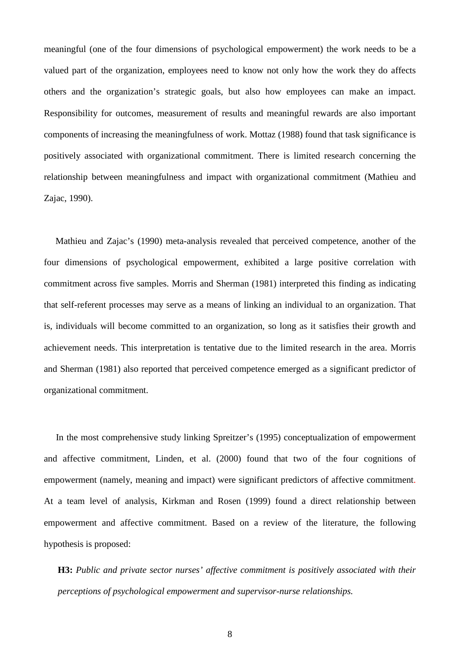meaningful (one of the four dimensions of psychological empowerment) the work needs to be a valued part of the organization, employees need to know not only how the work they do affects others and the organization's strategic goals, but also how employees can make an impact. Responsibility for outcomes, measurement of results and meaningful rewards are also important components of increasing the meaningfulness of work. Mottaz (1988) found that task significance is positively associated with organizational commitment. There is limited research concerning the relationship between meaningfulness and impact with organizational commitment (Mathieu and Zajac, 1990).

 Mathieu and Zajac's (1990) meta-analysis revealed that perceived competence, another of the four dimensions of psychological empowerment, exhibited a large positive correlation with commitment across five samples. Morris and Sherman (1981) interpreted this finding as indicating that self-referent processes may serve as a means of linking an individual to an organization. That is, individuals will become committed to an organization, so long as it satisfies their growth and achievement needs. This interpretation is tentative due to the limited research in the area. Morris and Sherman (1981) also reported that perceived competence emerged as a significant predictor of organizational commitment.

In the most comprehensive study linking Spreitzer's (1995) conceptualization of empowerment and affective commitment, Linden, et al. (2000) found that two of the four cognitions of empowerment (namely, meaning and impact) were significant predictors of affective commitment. At a team level of analysis, Kirkman and Rosen (1999) found a direct relationship between empowerment and affective commitment. Based on a review of the literature, the following hypothesis is proposed:

**H3:** *Public and private sector nurses' affective commitment is positively associated with their perceptions of psychological empowerment and supervisor-nurse relationships.*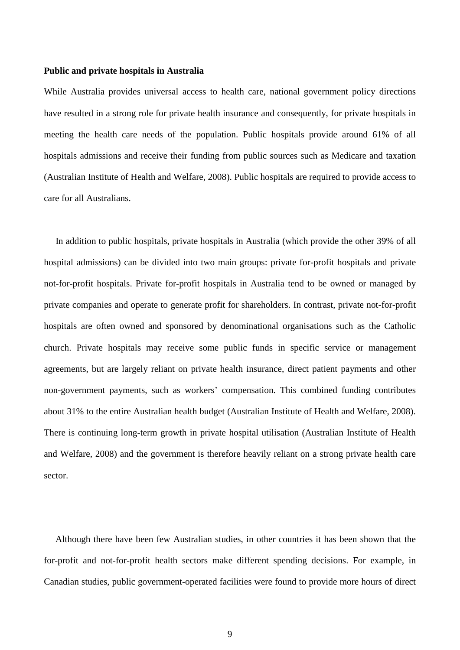#### **Public and private hospitals in Australia**

While Australia provides universal access to health care, national government policy directions have resulted in a strong role for private health insurance and consequently, for private hospitals in meeting the health care needs of the population. Public hospitals provide around 61% of all hospitals admissions and receive their funding from public sources such as Medicare and taxation (Australian Institute of Health and Welfare, 2008). Public hospitals are required to provide access to care for all Australians.

 In addition to public hospitals, private hospitals in Australia (which provide the other 39% of all hospital admissions) can be divided into two main groups: private for-profit hospitals and private not-for-profit hospitals. Private for-profit hospitals in Australia tend to be owned or managed by private companies and operate to generate profit for shareholders. In contrast, private not-for-profit hospitals are often owned and sponsored by denominational organisations such as the Catholic church. Private hospitals may receive some public funds in specific service or management agreements, but are largely reliant on private health insurance, direct patient payments and other non-government payments, such as workers' compensation. This combined funding contributes about 31% to the entire Australian health budget (Australian Institute of Health and Welfare, 2008). There is continuing long-term growth in private hospital utilisation (Australian Institute of Health and Welfare, 2008) and the government is therefore heavily reliant on a strong private health care sector.

 Although there have been few Australian studies, in other countries it has been shown that the for-profit and not-for-profit health sectors make different spending decisions. For example, in Canadian studies, public government-operated facilities were found to provide more hours of direct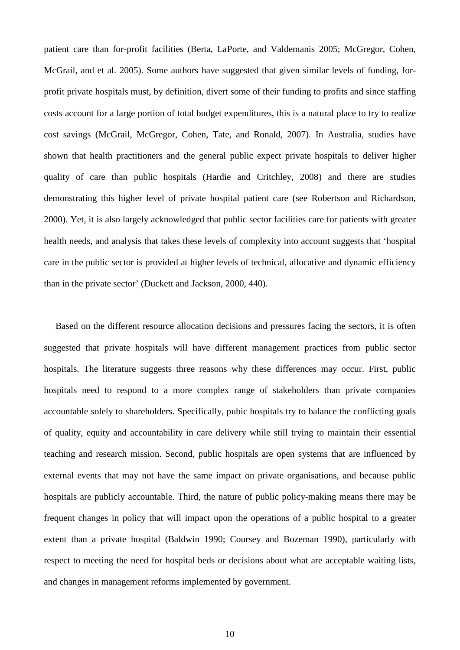patient care than for-profit facilities (Berta, LaPorte, and Valdemanis 2005; McGregor, Cohen, McGrail, and et al. 2005). Some authors have suggested that given similar levels of funding, forprofit private hospitals must, by definition, divert some of their funding to profits and since staffing costs account for a large portion of total budget expenditures, this is a natural place to try to realize cost savings (McGrail, McGregor, Cohen, Tate, and Ronald, 2007). In Australia, studies have shown that health practitioners and the general public expect private hospitals to deliver higher quality of care than public hospitals (Hardie and Critchley, 2008) and there are studies demonstrating this higher level of private hospital patient care (see Robertson and Richardson, 2000). Yet, it is also largely acknowledged that public sector facilities care for patients with greater health needs, and analysis that takes these levels of complexity into account suggests that 'hospital care in the public sector is provided at higher levels of technical, allocative and dynamic efficiency than in the private sector' (Duckett and Jackson, 2000, 440).

 Based on the different resource allocation decisions and pressures facing the sectors, it is often suggested that private hospitals will have different management practices from public sector hospitals. The literature suggests three reasons why these differences may occur. First, public hospitals need to respond to a more complex range of stakeholders than private companies accountable solely to shareholders. Specifically, pubic hospitals try to balance the conflicting goals of quality, equity and accountability in care delivery while still trying to maintain their essential teaching and research mission. Second, public hospitals are open systems that are influenced by external events that may not have the same impact on private organisations, and because public hospitals are publicly accountable. Third, the nature of public policy-making means there may be frequent changes in policy that will impact upon the operations of a public hospital to a greater extent than a private hospital (Baldwin 1990; Coursey and Bozeman 1990), particularly with respect to meeting the need for hospital beds or decisions about what are acceptable waiting lists, and changes in management reforms implemented by government.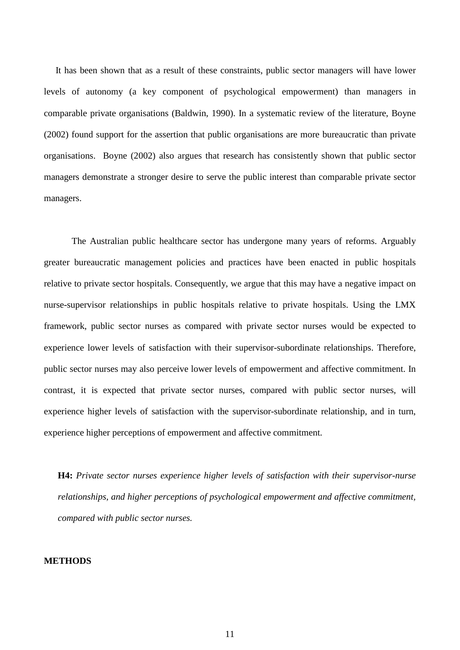It has been shown that as a result of these constraints, public sector managers will have lower levels of autonomy (a key component of psychological empowerment) than managers in comparable private organisations (Baldwin, 1990). In a systematic review of the literature, Boyne (2002) found support for the assertion that public organisations are more bureaucratic than private organisations. Boyne (2002) also argues that research has consistently shown that public sector managers demonstrate a stronger desire to serve the public interest than comparable private sector managers.

The Australian public healthcare sector has undergone many years of reforms. Arguably greater bureaucratic management policies and practices have been enacted in public hospitals relative to private sector hospitals. Consequently, we argue that this may have a negative impact on nurse-supervisor relationships in public hospitals relative to private hospitals. Using the LMX framework, public sector nurses as compared with private sector nurses would be expected to experience lower levels of satisfaction with their supervisor-subordinate relationships. Therefore, public sector nurses may also perceive lower levels of empowerment and affective commitment. In contrast, it is expected that private sector nurses, compared with public sector nurses, will experience higher levels of satisfaction with the supervisor-subordinate relationship, and in turn, experience higher perceptions of empowerment and affective commitment.

**H4:** *Private sector nurses experience higher levels of satisfaction with their supervisor-nurse relationships, and higher perceptions of psychological empowerment and affective commitment, compared with public sector nurses.*

#### **METHODS**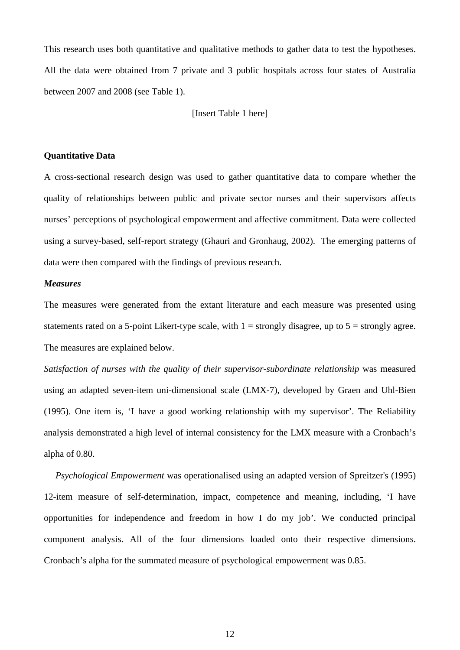This research uses both quantitative and qualitative methods to gather data to test the hypotheses. All the data were obtained from 7 private and 3 public hospitals across four states of Australia between 2007 and 2008 (see Table 1).

[Insert Table 1 here]

# **Quantitative Data**

A cross-sectional research design was used to gather quantitative data to compare whether the quality of relationships between public and private sector nurses and their supervisors affects nurses' perceptions of psychological empowerment and affective commitment. Data were collected using a survey-based, self-report strategy (Ghauri and Gronhaug, 2002). The emerging patterns of data were then compared with the findings of previous research.

# *Measures*

The measures were generated from the extant literature and each measure was presented using statements rated on a 5-point Likert-type scale, with  $1 =$  strongly disagree, up to  $5 =$  strongly agree. The measures are explained below.

Satisfaction of nurses with the quality of their supervisor-subordinate relationship was measured using an adapted seven-item uni-dimensional scale (LMX-7), developed by Graen and Uhl-Bien (1995). One item is, 'I have a good working relationship with my supervisor'. The Reliability analysis demonstrated a high level of internal consistency for the LMX measure with a Cronbach's alpha of 0.80.

 *Psychological Empowerment* was operationalised using an adapted version of Spreitzer's (1995) 12-item measure of self-determination, impact, competence and meaning, including, 'I have opportunities for independence and freedom in how I do my job'. We conducted principal component analysis. All of the four dimensions loaded onto their respective dimensions. Cronbach's alpha for the summated measure of psychological empowerment was 0.85.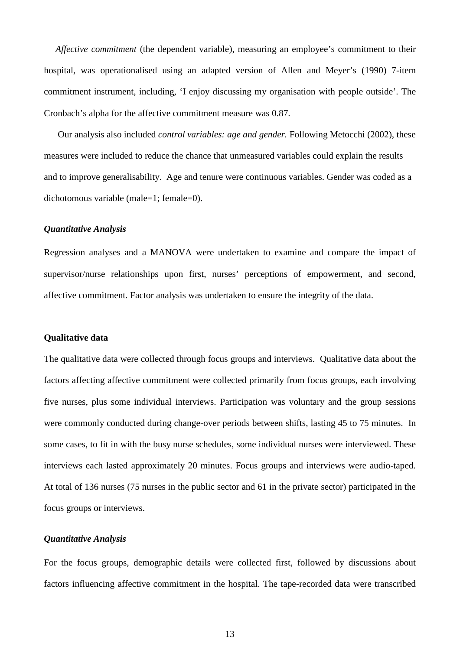*Affective commitment* (the dependent variable), measuring an employee's commitment to their hospital, was operationalised using an adapted version of Allen and Meyer's (1990) 7-item commitment instrument, including, 'I enjoy discussing my organisation with people outside'. The Cronbach's alpha for the affective commitment measure was 0.87.

 Our analysis also included *control variables: age and gender.* Following Metocchi (2002), these measures were included to reduce the chance that unmeasured variables could explain the results and to improve generalisability. Age and tenure were continuous variables. Gender was coded as a dichotomous variable (male=1; female=0).

#### *Quantitative Analysis*

Regression analyses and a MANOVA were undertaken to examine and compare the impact of supervisor/nurse relationships upon first, nurses' perceptions of empowerment, and second, affective commitment. Factor analysis was undertaken to ensure the integrity of the data.

#### **Qualitative data**

The qualitative data were collected through focus groups and interviews. Qualitative data about the factors affecting affective commitment were collected primarily from focus groups, each involving five nurses, plus some individual interviews. Participation was voluntary and the group sessions were commonly conducted during change-over periods between shifts, lasting 45 to 75 minutes. In some cases, to fit in with the busy nurse schedules, some individual nurses were interviewed. These interviews each lasted approximately 20 minutes. Focus groups and interviews were audio-taped. At total of 136 nurses (75 nurses in the public sector and 61 in the private sector) participated in the focus groups or interviews.

# *Quantitative Analysis*

For the focus groups, demographic details were collected first, followed by discussions about factors influencing affective commitment in the hospital. The tape-recorded data were transcribed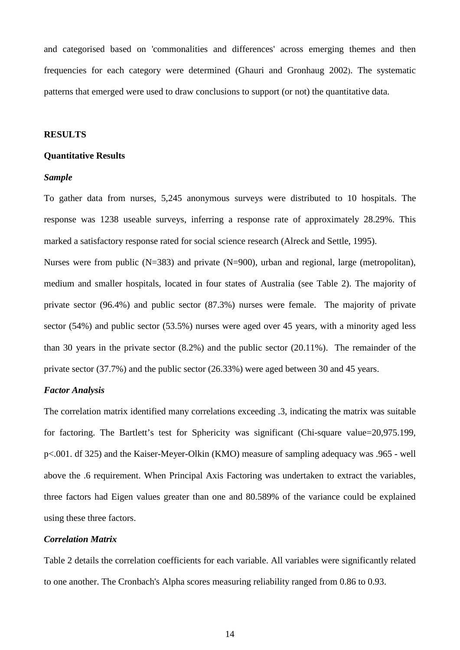and categorised based on 'commonalities and differences' across emerging themes and then frequencies for each category were determined (Ghauri and Gronhaug 2002). The systematic patterns that emerged were used to draw conclusions to support (or not) the quantitative data.

#### **RESULTS**

#### **Quantitative Results**

#### *Sample*

To gather data from nurses, 5,245 anonymous surveys were distributed to 10 hospitals. The response was 1238 useable surveys, inferring a response rate of approximately 28.29%. This marked a satisfactory response rated for social science research (Alreck and Settle, 1995).

Nurses were from public (N=383) and private (N=900), urban and regional, large (metropolitan), medium and smaller hospitals, located in four states of Australia (see Table 2). The majority of private sector (96.4%) and public sector (87.3%) nurses were female. The majority of private sector (54%) and public sector (53.5%) nurses were aged over 45 years, with a minority aged less than 30 years in the private sector (8.2%) and the public sector (20.11%). The remainder of the private sector (37.7%) and the public sector (26.33%) were aged between 30 and 45 years.

# *Factor Analysis*

The correlation matrix identified many correlations exceeding .3, indicating the matrix was suitable for factoring. The Bartlett's test for Sphericity was significant (Chi-square value=20,975.199, p<.001. df 325) and the Kaiser-Meyer-Olkin (KMO) measure of sampling adequacy was .965 - well above the .6 requirement. When Principal Axis Factoring was undertaken to extract the variables, three factors had Eigen values greater than one and 80.589% of the variance could be explained using these three factors.

# *Correlation Matrix*

Table 2 details the correlation coefficients for each variable. All variables were significantly related to one another. The Cronbach's Alpha scores measuring reliability ranged from 0.86 to 0.93.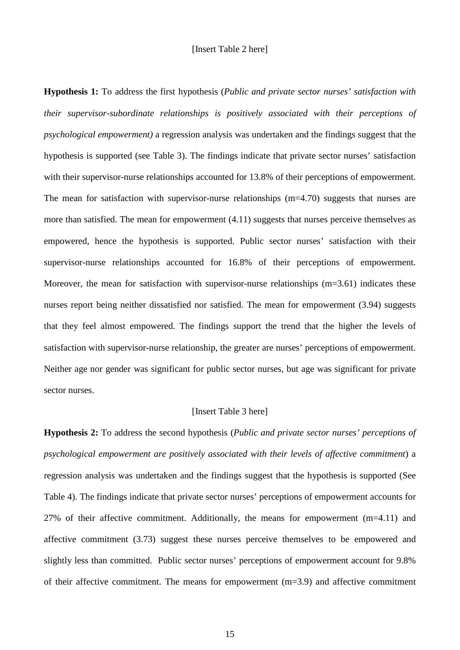**Hypothesis 1:** To address the first hypothesis (*Public and private sector nurses' satisfaction with their supervisor-subordinate relationships is positively associated with their perceptions of psychological empowerment)* a regression analysis was undertaken and the findings suggest that the hypothesis is supported (see Table 3). The findings indicate that private sector nurses' satisfaction with their supervisor-nurse relationships accounted for 13.8% of their perceptions of empowerment. The mean for satisfaction with supervisor-nurse relationships (m=4.70) suggests that nurses are more than satisfied. The mean for empowerment (4.11) suggests that nurses perceive themselves as empowered, hence the hypothesis is supported. Public sector nurses' satisfaction with their supervisor-nurse relationships accounted for 16.8% of their perceptions of empowerment. Moreover, the mean for satisfaction with supervisor-nurse relationships  $(m=3.61)$  indicates these nurses report being neither dissatisfied nor satisfied. The mean for empowerment (3.94) suggests that they feel almost empowered. The findings support the trend that the higher the levels of satisfaction with supervisor-nurse relationship, the greater are nurses' perceptions of empowerment. Neither age nor gender was significant for public sector nurses, but age was significant for private sector nurses.

# [Insert Table 3 here]

**Hypothesis 2:** To address the second hypothesis (*Public and private sector nurses' perceptions of psychological empowerment are positively associated with their levels of affective commitment*) a regression analysis was undertaken and the findings suggest that the hypothesis is supported (See Table 4). The findings indicate that private sector nurses' perceptions of empowerment accounts for 27% of their affective commitment. Additionally, the means for empowerment (m=4.11) and affective commitment (3.73) suggest these nurses perceive themselves to be empowered and slightly less than committed. Public sector nurses' perceptions of empowerment account for 9.8% of their affective commitment. The means for empowerment (m=3.9) and affective commitment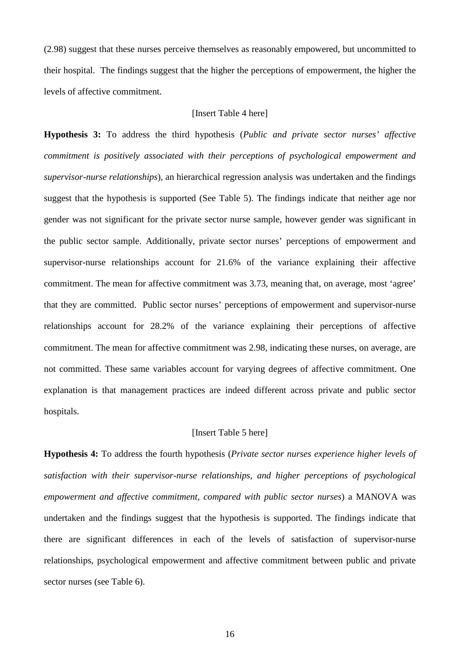(2.98) suggest that these nurses perceive themselves as reasonably empowered, but uncommitted to their hospital. The findings suggest that the higher the perceptions of empowerment, the higher the levels of affective commitment.

# [Insert Table 4 here]

**Hypothesis 3:** To address the third hypothesis (*Public and private sector nurses' affective commitment is positively associated with their perceptions of psychological empowerment and supervisor-nurse relationships*), an hierarchical regression analysis was undertaken and the findings suggest that the hypothesis is supported (See Table 5). The findings indicate that neither age nor gender was not significant for the private sector nurse sample, however gender was significant in the public sector sample. Additionally, private sector nurses' perceptions of empowerment and supervisor-nurse relationships account for 21.6% of the variance explaining their affective commitment. The mean for affective commitment was 3.73, meaning that, on average, most 'agree' that they are committed. Public sector nurses' perceptions of empowerment and supervisor-nurse relationships account for 28.2% of the variance explaining their perceptions of affective commitment. The mean for affective commitment was 2.98, indicating these nurses, on average, are not committed. These same variables account for varying degrees of affective commitment. One explanation is that management practices are indeed different across private and public sector hospitals.

# [Insert Table 5 here]

**Hypothesis 4:** To address the fourth hypothesis (*Private sector nurses experience higher levels of satisfaction with their supervisor-nurse relationships, and higher perceptions of psychological empowerment and affective commitment, compared with public sector nurses*) a MANOVA was undertaken and the findings suggest that the hypothesis is supported. The findings indicate that there are significant differences in each of the levels of satisfaction of supervisor-nurse relationships, psychological empowerment and affective commitment between public and private sector nurses (see Table 6).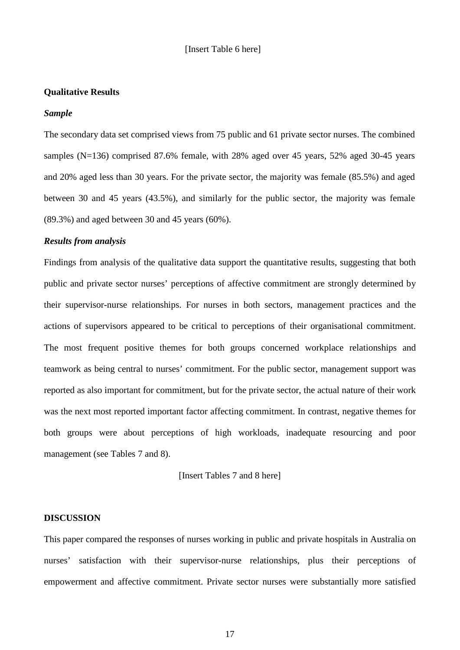# **Qualitative Results**

#### *Sample*

The secondary data set comprised views from 75 public and 61 private sector nurses. The combined samples (N=136) comprised 87.6% female, with 28% aged over 45 years, 52% aged 30-45 years and 20% aged less than 30 years. For the private sector, the majority was female (85.5%) and aged between 30 and 45 years (43.5%), and similarly for the public sector, the majority was female (89.3%) and aged between 30 and 45 years (60%).

# *Results from analysis*

Findings from analysis of the qualitative data support the quantitative results, suggesting that both public and private sector nurses' perceptions of affective commitment are strongly determined by their supervisor-nurse relationships. For nurses in both sectors, management practices and the actions of supervisors appeared to be critical to perceptions of their organisational commitment. The most frequent positive themes for both groups concerned workplace relationships and teamwork as being central to nurses' commitment. For the public sector, management support was reported as also important for commitment, but for the private sector, the actual nature of their work was the next most reported important factor affecting commitment. In contrast, negative themes for both groups were about perceptions of high workloads, inadequate resourcing and poor management (see Tables 7 and 8).

[Insert Tables 7 and 8 here]

#### **DISCUSSION**

This paper compared the responses of nurses working in public and private hospitals in Australia on nurses' satisfaction with their supervisor-nurse relationships, plus their perceptions of empowerment and affective commitment. Private sector nurses were substantially more satisfied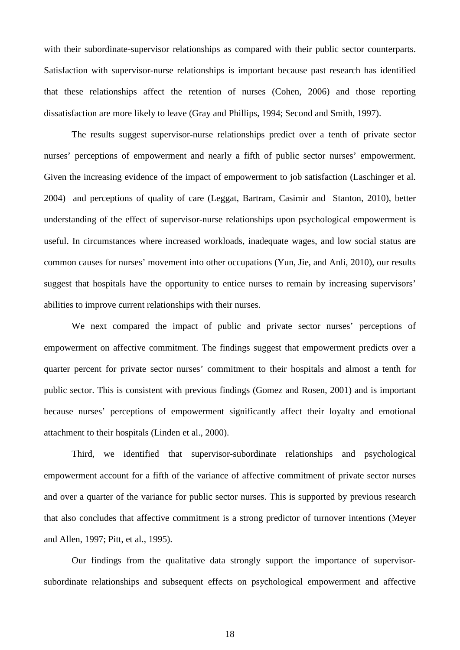with their subordinate-supervisor relationships as compared with their public sector counterparts. Satisfaction with supervisor-nurse relationships is important because past research has identified that these relationships affect the retention of nurses (Cohen, 2006) and those reporting dissatisfaction are more likely to leave (Gray and Phillips, 1994; Second and Smith, 1997).

The results suggest supervisor-nurse relationships predict over a tenth of private sector nurses' perceptions of empowerment and nearly a fifth of public sector nurses' empowerment. Given the increasing evidence of the impact of empowerment to job satisfaction (Laschinger et al. 2004) and perceptions of quality of care (Leggat, Bartram, Casimir and Stanton, 2010), better understanding of the effect of supervisor-nurse relationships upon psychological empowerment is useful. In circumstances where increased workloads, inadequate wages, and low social status are common causes for nurses' movement into other occupations (Yun, Jie, and Anli, 2010), our results suggest that hospitals have the opportunity to entice nurses to remain by increasing supervisors' abilities to improve current relationships with their nurses.

We next compared the impact of public and private sector nurses' perceptions of empowerment on affective commitment. The findings suggest that empowerment predicts over a quarter percent for private sector nurses' commitment to their hospitals and almost a tenth for public sector. This is consistent with previous findings (Gomez and Rosen, 2001) and is important because nurses' perceptions of empowerment significantly affect their loyalty and emotional attachment to their hospitals (Linden et al., 2000).

Third, we identified that supervisor-subordinate relationships and psychological empowerment account for a fifth of the variance of affective commitment of private sector nurses and over a quarter of the variance for public sector nurses. This is supported by previous research that also concludes that affective commitment is a strong predictor of turnover intentions (Meyer and Allen, 1997; Pitt, et al., 1995).

Our findings from the qualitative data strongly support the importance of supervisorsubordinate relationships and subsequent effects on psychological empowerment and affective

18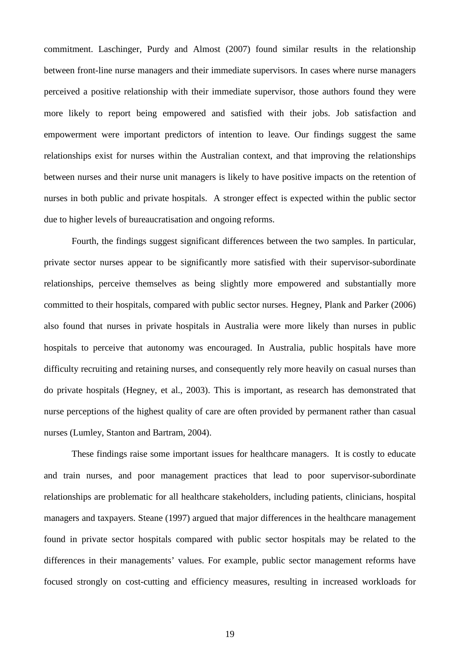commitment. Laschinger, Purdy and Almost (2007) found similar results in the relationship between front-line nurse managers and their immediate supervisors. In cases where nurse managers perceived a positive relationship with their immediate supervisor, those authors found they were more likely to report being empowered and satisfied with their jobs. Job satisfaction and empowerment were important predictors of intention to leave. Our findings suggest the same relationships exist for nurses within the Australian context, and that improving the relationships between nurses and their nurse unit managers is likely to have positive impacts on the retention of nurses in both public and private hospitals. A stronger effect is expected within the public sector due to higher levels of bureaucratisation and ongoing reforms.

Fourth, the findings suggest significant differences between the two samples. In particular, private sector nurses appear to be significantly more satisfied with their supervisor-subordinate relationships, perceive themselves as being slightly more empowered and substantially more committed to their hospitals, compared with public sector nurses. Hegney, Plank and Parker (2006) also found that nurses in private hospitals in Australia were more likely than nurses in public hospitals to perceive that autonomy was encouraged. In Australia, public hospitals have more difficulty recruiting and retaining nurses, and consequently rely more heavily on casual nurses than do private hospitals (Hegney, et al., 2003). This is important, as research has demonstrated that nurse perceptions of the highest quality of care are often provided by permanent rather than casual nurses (Lumley, Stanton and Bartram, 2004).

These findings raise some important issues for healthcare managers. It is costly to educate and train nurses, and poor management practices that lead to poor supervisor-subordinate relationships are problematic for all healthcare stakeholders, including patients, clinicians, hospital managers and taxpayers. Steane (1997) argued that major differences in the healthcare management found in private sector hospitals compared with public sector hospitals may be related to the differences in their managements' values. For example, public sector management reforms have focused strongly on cost-cutting and efficiency measures, resulting in increased workloads for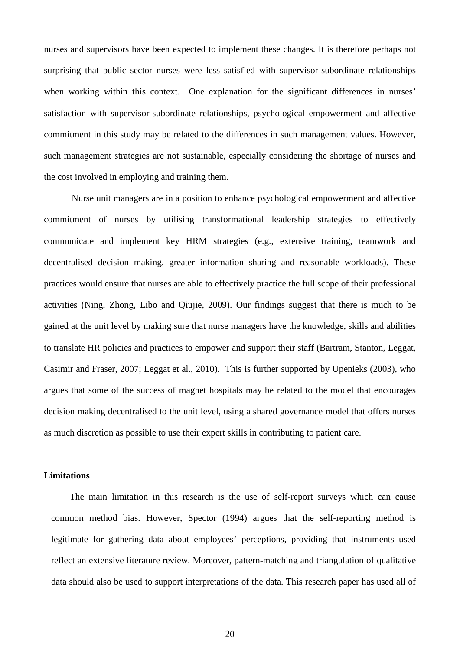nurses and supervisors have been expected to implement these changes. It is therefore perhaps not surprising that public sector nurses were less satisfied with supervisor-subordinate relationships when working within this context. One explanation for the significant differences in nurses' satisfaction with supervisor-subordinate relationships, psychological empowerment and affective commitment in this study may be related to the differences in such management values. However, such management strategies are not sustainable, especially considering the shortage of nurses and the cost involved in employing and training them.

Nurse unit managers are in a position to enhance psychological empowerment and affective commitment of nurses by utilising transformational leadership strategies to effectively communicate and implement key HRM strategies (e.g., extensive training, teamwork and decentralised decision making, greater information sharing and reasonable workloads). These practices would ensure that nurses are able to effectively practice the full scope of their professional activities (Ning, Zhong, Libo and Qiujie, 2009). Our findings suggest that there is much to be gained at the unit level by making sure that nurse managers have the knowledge, skills and abilities to translate HR policies and practices to empower and support their staff (Bartram, Stanton, Leggat, Casimir and Fraser, 2007; Leggat et al., 2010). This is further supported by Upenieks (2003), who argues that some of the success of magnet hospitals may be related to the model that encourages decision making decentralised to the unit level, using a shared governance model that offers nurses as much discretion as possible to use their expert skills in contributing to patient care.

#### **Limitations**

 The main limitation in this research is the use of self-report surveys which can cause common method bias. However, Spector (1994) argues that the self-reporting method is legitimate for gathering data about employees' perceptions, providing that instruments used reflect an extensive literature review. Moreover, pattern-matching and triangulation of qualitative data should also be used to support interpretations of the data. This research paper has used all of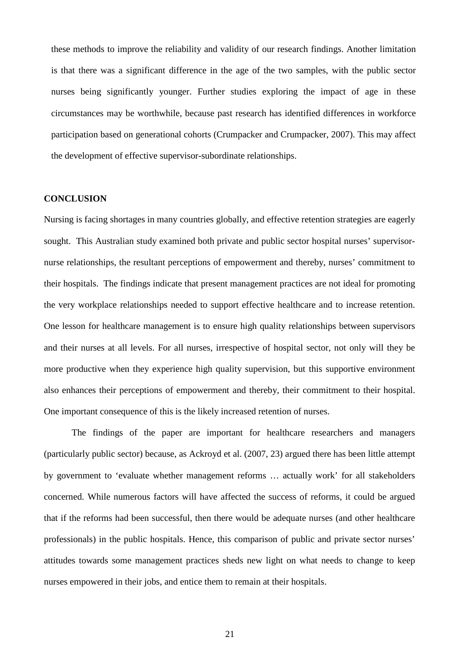these methods to improve the reliability and validity of our research findings. Another limitation is that there was a significant difference in the age of the two samples, with the public sector nurses being significantly younger. Further studies exploring the impact of age in these circumstances may be worthwhile, because past research has identified differences in workforce participation based on generational cohorts (Crumpacker and Crumpacker, 2007). This may affect the development of effective supervisor-subordinate relationships.

# **CONCLUSION**

Nursing is facing shortages in many countries globally, and effective retention strategies are eagerly sought. This Australian study examined both private and public sector hospital nurses' supervisornurse relationships, the resultant perceptions of empowerment and thereby, nurses' commitment to their hospitals. The findings indicate that present management practices are not ideal for promoting the very workplace relationships needed to support effective healthcare and to increase retention. One lesson for healthcare management is to ensure high quality relationships between supervisors and their nurses at all levels. For all nurses, irrespective of hospital sector, not only will they be more productive when they experience high quality supervision, but this supportive environment also enhances their perceptions of empowerment and thereby, their commitment to their hospital. One important consequence of this is the likely increased retention of nurses.

The findings of the paper are important for healthcare researchers and managers (particularly public sector) because, as Ackroyd et al. (2007, 23) argued there has been little attempt by government to 'evaluate whether management reforms … actually work' for all stakeholders concerned. While numerous factors will have affected the success of reforms, it could be argued that if the reforms had been successful, then there would be adequate nurses (and other healthcare professionals) in the public hospitals. Hence, this comparison of public and private sector nurses' attitudes towards some management practices sheds new light on what needs to change to keep nurses empowered in their jobs, and entice them to remain at their hospitals.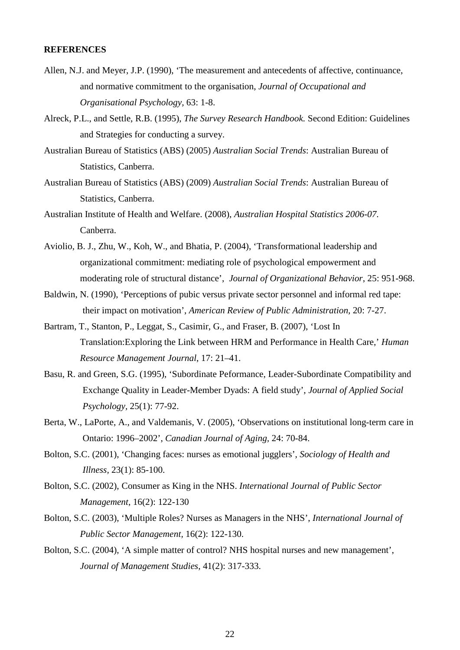#### **REFERENCES**

- Allen, N.J. and Meyer, J.P. (1990), 'The measurement and antecedents of affective, continuance, and normative commitment to the organisation, *Journal of Occupational and Organisational Psychology,* 63: 1-8.
- Alreck, P.L., and Settle, R.B. (1995), *The Survey Research Handbook.* Second Edition: Guidelines and Strategies for conducting a survey.
- Australian Bureau of Statistics (ABS) (2005) *Australian Social Trends*: Australian Bureau of Statistics*,* Canberra.
- Australian Bureau of Statistics (ABS) (2009) *Australian Social Trends*: Australian Bureau of Statistics*,* Canberra.
- Australian Institute of Health and Welfare. (2008), *Australian Hospital Statistics 2006-07*. Canberra.
- Aviolio, B. J., Zhu, W., Koh, W., and Bhatia, P. (2004), 'Transformational leadership and organizational commitment: mediating role of psychological empowerment and moderating role of structural distance', *Journal of Organizational Behavior*, 25: 951-968.
- Baldwin, N. (1990), 'Perceptions of pubic versus private sector personnel and informal red tape: their impact on motivation', *American Review of Public Administration,* 20: 7-27.
- Bartram, T., Stanton, P., Leggat, S., Casimir, G., and Fraser, B. (2007), 'Lost In Translation:Exploring the Link between HRM and Performance in Health Care,' *Human Resource Management Journal*, 17: 21–41.
- Basu, R. and Green, S.G. (1995), 'Subordinate Peformance, Leader-Subordinate Compatibility and Exchange Quality in Leader-Member Dyads: A field study', *Journal of Applied Social Psychology,* 25(1): 77-92.
- Berta, W., LaPorte, A., and Valdemanis, V. (2005), 'Observations on institutional long-term care in Ontario: 1996–2002', *Canadian Journal of Aging,* 24: 70-84.
- Bolton, S.C. (2001), 'Changing faces: nurses as emotional jugglers', *Sociology of Health and Illness,* 23(1): 85-100.
- Bolton, S.C. (2002), Consumer as King in the NHS. *International Journal of Public Sector Management,* 16(2): 122-130
- Bolton, S.C. (2003), 'Multiple Roles? Nurses as Managers in the NHS', *International Journal of Public Sector Management,* 16(2): 122-130.
- Bolton, S.C. (2004), 'A simple matter of control? NHS hospital nurses and new management', *Journal of Management Studies*, 41(2): 317-333.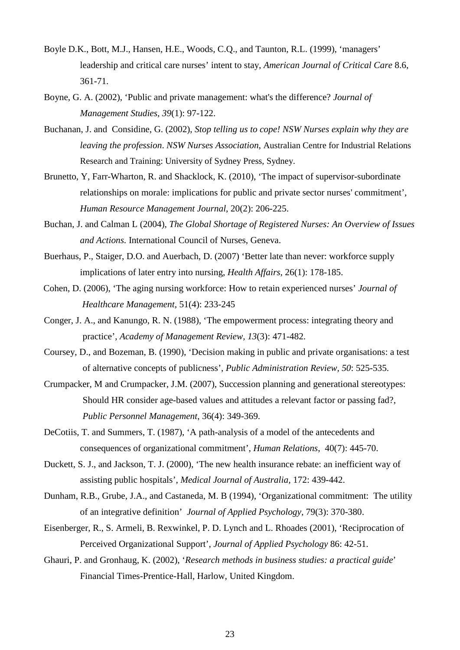- Boyle D.K., Bott, M.J., Hansen, H.E., Woods, C.Q., and Taunton, R.L. (1999), 'managers' leadership and critical care nurses' intent to stay, *American Journal of Critical Care* 8.6, 361-71.
- Boyne, G. A. (2002), 'Public and private management: what's the difference? *Journal of Management Studies, 39*(1): 97-122.
- Buchanan, J. and Considine, G. (2002), *Stop telling us to cope! NSW Nurses explain why they are leaving the profession*. *NSW Nurses Association*, Australian Centre for Industrial Relations Research and Training: University of Sydney Press, Sydney.
- Brunetto, Y, Farr-Wharton, R. and Shacklock, K. (2010), 'The impact of supervisor-subordinate relationships on morale: implications for public and private sector nurses' commitment', *Human Resource Management Journal*, 20(2): 206-225.
- Buchan, J. and Calman L (2004), *The Global Shortage of Registered Nurses: An Overview of Issues and Actions.* International Council of Nurses, Geneva.
- Buerhaus, P., Staiger, D.O. and Auerbach, D. (2007) 'Better late than never: workforce supply implications of later entry into nursing, *Health Affairs,* 26(1): 178-185.
- Cohen, D. (2006), 'The aging nursing workforce: How to retain experienced nurses' *Journal of Healthcare Management,* 51(4): 233-245
- Conger, J. A., and Kanungo, R. N. (1988), 'The empowerment process: integrating theory and practice', *Academy of Management Review, 13*(3): 471-482.
- Coursey, D., and Bozeman, B. (1990), 'Decision making in public and private organisations: a test of alternative concepts of publicness', *Public Administration Review, 50*: 525-535.
- Crumpacker, M and Crumpacker, J.M. (2007), Succession planning and generational stereotypes: Should HR consider age-based values and attitudes a relevant factor or passing fad?, *Public Personnel Management*, 36(4): 349-369.
- DeCotiis, T. and Summers, T. (1987), 'A path-analysis of a model of the antecedents and consequences of organizational commitment', *Human Relations*, 40(7): 445-70.
- Duckett, S. J., and Jackson, T. J. (2000), 'The new health insurance rebate: an inefficient way of assisting public hospitals', *Medical Journal of Australia,* 172: 439-442.
- Dunham, R.B., Grube, J.A., and Castaneda, M. B (1994), 'Organizational commitment: The utility of an integrative definition' *Journal of Applied Psychology,* 79(3): 370-380.
- Eisenberger, R., S. Armeli, B. Rexwinkel, P. D. Lynch and L. Rhoades (2001), 'Reciprocation of Perceived Organizational Support', *Journal of Applied Psychology* 86: 42-51.
- Ghauri, P. and Gronhaug, K. (2002), '*Research methods in business studies: a practical guide*' Financial Times-Prentice-Hall, Harlow, United Kingdom.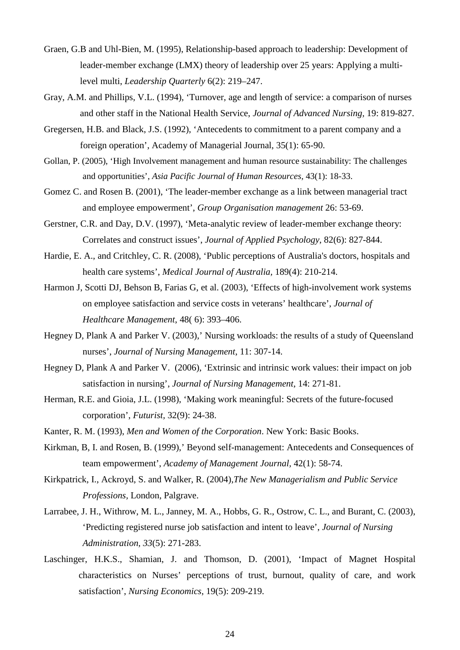- Graen, G.B and Uhl-Bien, M. (1995), Relationship-based approach to leadership: Development of leader-member exchange (LMX) theory of leadership over 25 years: Applying a multilevel multi, *Leadership Quarterly* 6(2): 219–247.
- Gray, A.M. and Phillips, V.L. (1994), 'Turnover, age and length of service: a comparison of nurses and other staff in the National Health Service, *Journal of Advanced Nursing,* 19: 819-827.
- Gregersen, H.B. and Black, J.S. (1992), 'Antecedents to commitment to a parent company and a foreign operation', Academy of Managerial Journal, 35(1): 65-90.
- Gollan, P. (2005), 'High Involvement management and human resource sustainability: The challenges and opportunities', *Asia Pacific Journal of Human Resources,* 43(1): 18-33.
- Gomez C. and Rosen B. (2001), 'The leader-member exchange as a link between managerial tract and employee empowerment', *Group Organisation management* 26: 53-69.
- Gerstner, C.R. and Day, D.V. (1997), 'Meta-analytic review of leader-member exchange theory: Correlates and construct issues', *Journal of Applied Psychology*, 82(6): 827-844.
- Hardie, E. A., and Critchley, C. R. (2008), 'Public perceptions of Australia's doctors, hospitals and health care systems', *Medical Journal of Australia,* 189(4): 210-214.
- Harmon J, Scotti DJ, Behson B, Farias G, et al. (2003), 'Effects of high-involvement work systems on employee satisfaction and service costs in veterans' healthcare', *Journal of Healthcare Management*, 48( 6): 393–406.
- Hegney D, Plank A and Parker V. (2003),' Nursing workloads: the results of a study of Queensland nurses', *Journal of Nursing Management*, 11: 307-14.
- Hegney D, Plank A and Parker V. (2006), 'Extrinsic and intrinsic work values: their impact on job satisfaction in nursing', *Journal of Nursing Management*, 14: 271-81.
- Herman, R.E. and Gioia, J.L. (1998), 'Making work meaningful: Secrets of the future-focused corporation', *Futurist,* 32(9): 24-38.
- Kanter, R. M. (1993), *Men and Women of the Corporation*. New York: Basic Books.
- Kirkman, B, I. and Rosen, B. (1999),' Beyond self-management: Antecedents and Consequences of team empowerment', *Academy of Management Journal,* 42(1): 58-74.
- Kirkpatrick, I., Ackroyd, S. and Walker, R. (2004),*The New Managerialism and Public Service Professions,* London, Palgrave.
- Larrabee, J. H., Withrow, M. L., Janney, M. A., Hobbs, G. R., Ostrow, C. L., and Burant, C. (2003), 'Predicting registered nurse job satisfaction and intent to leave', *Journal of Nursing Administration, 33*(5): 271-283.
- Laschinger, H.K.S., Shamian, J. and Thomson, D. (2001), 'Impact of Magnet Hospital characteristics on Nurses' perceptions of trust, burnout, quality of care, and work satisfaction', *Nursing Economics*, 19(5): 209-219.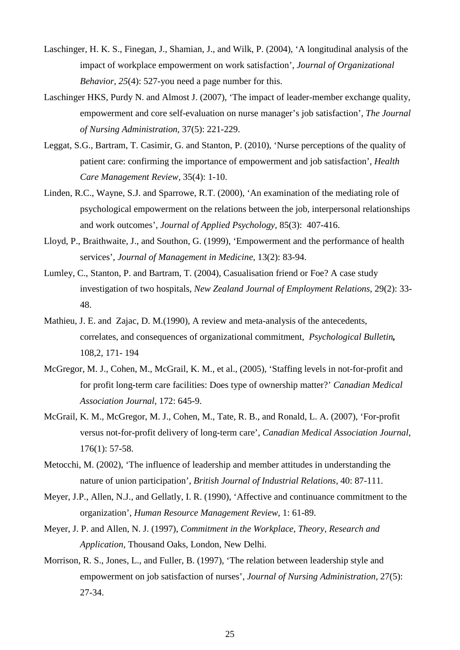- Laschinger, H. K. S., Finegan, J., Shamian, J., and Wilk, P. (2004), 'A longitudinal analysis of the impact of workplace empowerment on work satisfaction', *Journal of Organizational Behavior, 25*(4): 527-you need a page number for this.
- Laschinger HKS, Purdy N. and Almost J. (2007), 'The impact of leader-member exchange quality, empowerment and core self-evaluation on nurse manager's job satisfaction', *The Journal of Nursing Administration*, 37(5): 221-229.
- Leggat, S.G., Bartram, T. Casimir, G. and Stanton, P. (2010), 'Nurse perceptions of the quality of patient care: confirming the importance of empowerment and job satisfaction', *Health Care Management Review,* 35(4): 1-10.
- Linden, R.C., Wayne, S.J. and Sparrowe, R.T. (2000), 'An examination of the mediating role of psychological empowerment on the relations between the job, interpersonal relationships and work outcomes', *Journal of Applied Psychology,* 85(3): 407-416.
- Lloyd, P., Braithwaite, J., and Southon, G. (1999), 'Empowerment and the performance of health services', *Journal of Management in Medicine*, 13(2): 83-94.
- Lumley, C., Stanton, P. and Bartram, T. (2004), Casualisation friend or Foe? A case study investigation of two hospitals, *New Zealand Journal of Employment Relations*, 29(2): 33- 48.
- Mathieu, J. E. and Zajac, D. M.(1990), A review and meta-analysis of the antecedents, correlates, and consequences of organizational commitment, *Psychological Bulletin,* 108,2, 171- 194
- McGregor, M. J., Cohen, M., McGrail, K. M., et al., (2005), 'Staffing levels in not-for-profit and for profit long-term care facilities: Does type of ownership matter?' *Canadian Medical Association Journal,* 172: 645-9.
- McGrail, K. M., McGregor, M. J., Cohen, M., Tate, R. B., and Ronald, L. A. (2007), 'For-profit versus not-for-profit delivery of long-term care', *Canadian Medical Association Journal,*  176(1): 57-58.
- Metocchi, M. (2002), 'The influence of leadership and member attitudes in understanding the nature of union participation', *British Journal of Industrial Relations,* 40: 87-111.
- Meyer, J.P., Allen, N.J., and Gellatly, I. R. (1990), 'Affective and continuance commitment to the organization', *Human Resource Management Review*, 1: 61-89.
- Meyer, J. P. and Allen, N. J. (1997), *Commitment in the Workplace, Theory, Research and Application,* Thousand Oaks, London, New Delhi.
- Morrison, R. S., Jones, L., and Fuller, B. (1997), 'The relation between leadership style and empowerment on job satisfaction of nurses', *Journal of Nursing Administration,* 27(5): 27-34.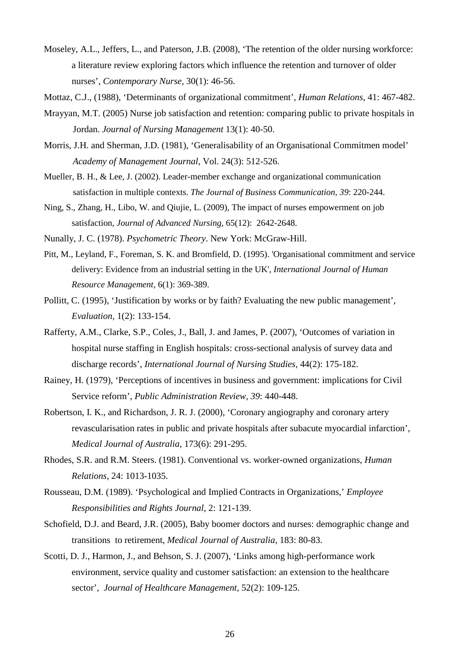- Moseley, A.L., Jeffers, L., and Paterson, J.B. (2008), 'The retention of the older nursing workforce: a literature review exploring factors which influence the retention and turnover of older nurses', *Contemporary Nurse*, 30(1): 46-56.
- Mottaz, C.J., (1988), 'Determinants of organizational commitment', *Human Relations*, 41: 467-482.
- Mrayyan, M.T. (2005) Nurse job satisfaction and retention: comparing public to private hospitals in Jordan. *Journal of Nursing Management* 13(1): 40-50.
- Morris, J.H. and Sherman, J.D. (1981), 'Generalisability of an Organisational Commitmen model' *Academy of Management Journal,* Vol. 24(3): 512-526.
- Mueller, B. H., & Lee, J. (2002). Leader-member exchange and organizational communication satisfaction in multiple contexts. *The Journal of Business Communication, 39*: 220-244.
- Ning, S., Zhang, H., Libo, W. and Qiujie, L. (2009), The impact of nurses empowerment on job satisfaction, *Journal of Advanced Nursing*, 65(12): 2642-2648.
- Nunally, J. C. (1978). *Psychometric Theory*. New York: McGraw-Hill.
- Pitt, M., Leyland, F., Foreman, S. K. and Bromfield, D. (1995). 'Organisational commitment and service delivery: Evidence from an industrial setting in the UK', *International Journal of Human Resource Management,* 6(1): 369-389.
- Pollitt, C. (1995), 'Justification by works or by faith? Evaluating the new public management', *Evaluation,* 1(2): 133-154.
- Rafferty, A.M., Clarke, S.P., Coles, J., Ball, J. and James, P. (2007), 'Outcomes of variation in hospital nurse staffing in English hospitals: cross-sectional analysis of survey data and discharge records', *International Journal of Nursing Studies,* 44(2): 175-182.
- Rainey, H. (1979), 'Perceptions of incentives in business and government: implications for Civil Service reform', *Public Administration Review, 39*: 440-448.
- Robertson, I. K., and Richardson, J. R. J. (2000), 'Coronary angiography and coronary artery revascularisation rates in public and private hospitals after subacute myocardial infarction', *Medical Journal of Australia,* 173(6): 291-295.
- Rhodes, S.R. and R.M. Steers. (1981). Conventional vs. worker-owned organizations, *Human Relations*, 24: 1013-1035.
- Rousseau, D.M. (1989). 'Psychological and Implied Contracts in Organizations,' *Employee Responsibilities and Rights Journal*, 2: 121-139.
- Schofield, D.J. and Beard, J.R. (2005), Baby boomer doctors and nurses: demographic change and transitions to retirement, *Medical Journal of Australia,* 183: 80-83.
- Scotti, D. J., Harmon, J., and Behson, S. J. (2007), 'Links among high-performance work environment, service quality and customer satisfaction: an extension to the healthcare sector', *Journal of Healthcare Management,* 52(2): 109-125.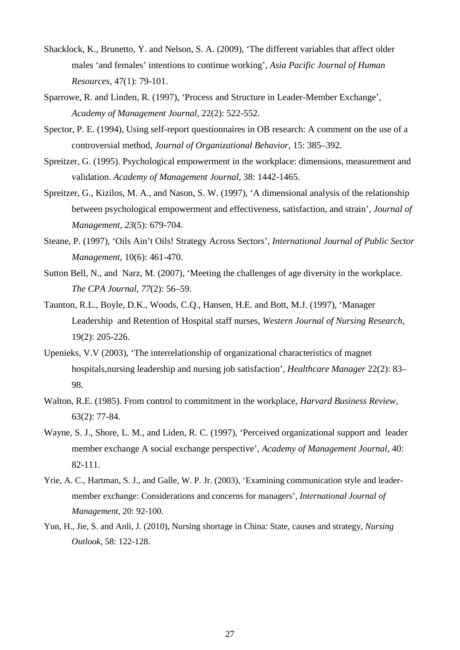- Shacklock, K., Brunetto, Y. and Nelson, S. A. (2009), 'The different variables that affect older males 'and females' intentions to continue working', *Asia Pacific Journal of Human Resources*, 47(1): 79-101.
- Sparrowe, R. and Linden, R. (1997), 'Process and Structure in Leader-Member Exchange', *Academy of Management Journal,* 22(2): 522-552.
- Spector, P. E. (1994), Using self-report questionnaires in OB research: A comment on the use of a controversial method, *Journal of Organizational Behavior,* 15: 385–392.
- Spreitzer, G. (1995). Psychological empowerment in the workplace: dimensions, measurement and validation. *Academy of Management Journal*, 38: 1442-1465.
- Spreitzer, G., Kizilos, M. A., and Nason, S. W. (1997), 'A dimensional analysis of the relationship between psychological empowerment and effectiveness, satisfaction, and strain', *Journal of Management, 23*(5): 679-704.
- Steane, P. (1997), 'Oils Ain't Oils! Strategy Across Sectors', *International Journal of Public Sector Management,* 10(6): 461-470.
- Sutton Bell, N., and Narz, M. (2007), 'Meeting the challenges of age diversity in the workplace. *The CPA Journal*, *77*(2): 56–59.
- Taunton, R.L., Boyle, D.K., Woods, C.Q., Hansen, H.E. and Bott, M.J. (1997), 'Manager Leadership and Retention of Hospital staff nurses, *Western Journal of Nursing Research,*  19(2): 205-226.
- Upenieks, V.V (2003), 'The interrelationship of organizational characteristics of magnet hospitals,nursing leadership and nursing job satisfaction', *Healthcare Manager* 22(2): 83– 98.
- Walton, R.E. (1985). From control to commitment in the workplace, *Harvard Business Review*, 63(2): 77-84.
- Wayne, S. J., Shore, L. M., and Liden, R. C. (1997), 'Perceived organizational support and leader member exchange A social exchange perspective', *Academy of Management Journal*, 40: 82-111.
- Yrie, A. C., Hartman, S. J., and Galle, W. P. Jr. (2003), 'Examining communication style and leadermember exchange: Considerations and concerns for managers', *International Journal of Management,* 20: 92-100.
- Yun, H., Jie, S. and Anli, J. (2010), Nursing shortage in China: State, causes and strategy, *Nursing Outlook*, 58: 122-128.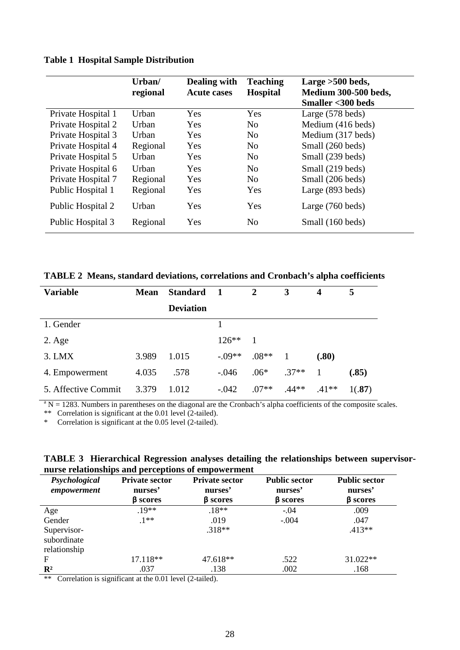# **Table 1 Hospital Sample Distribution**

|                    | Urban/<br>regional | Dealing with<br><b>Acute cases</b> | <b>Teaching</b><br><b>Hospital</b> | Large > 500 beds,<br><b>Medium 300-500 beds,</b><br><b>Smaller &lt;300 beds</b> |
|--------------------|--------------------|------------------------------------|------------------------------------|---------------------------------------------------------------------------------|
| Private Hospital 1 | Urban              | Yes                                | Yes                                | Large (578 beds)                                                                |
| Private Hospital 2 | Urban              | Yes                                | N <sub>0</sub>                     | Medium (416 beds)                                                               |
| Private Hospital 3 | Urban              | Yes                                | N <sub>0</sub>                     | Medium (317 beds)                                                               |
| Private Hospital 4 | Regional           | Yes                                | N <sub>o</sub>                     | Small (260 beds)                                                                |
| Private Hospital 5 | Urban              | Yes                                | N <sub>o</sub>                     | Small (239 beds)                                                                |
| Private Hospital 6 | Urban              | Yes                                | No                                 | Small (219 beds)                                                                |
| Private Hospital 7 | Regional           | Yes                                | N <sub>o</sub>                     | Small (206 beds)                                                                |
| Public Hospital 1  | Regional           | Yes                                | Yes                                | Large (893 beds)                                                                |
| Public Hospital 2  | Urban              | Yes                                | Yes                                | Large $(760$ beds)                                                              |
| Public Hospital 3  | Regional           | Yes                                | N <sub>o</sub>                     | Small (160 beds)                                                                |

| <b>Variable</b>     | <b>Mean</b> | <b>Standard</b>  | $\blacksquare$ | $\overline{2}$ | 3       | 4       | 5      |
|---------------------|-------------|------------------|----------------|----------------|---------|---------|--------|
|                     |             | <b>Deviation</b> |                |                |         |         |        |
| 1. Gender           |             |                  |                |                |         |         |        |
| $2. \text{Age}$     |             |                  | $126**$        |                |         |         |        |
| 3. LMX              | 3.989       | 1.015            | $-.09**$       | $.08**$        |         | (.80)   |        |
| 4. Empowerment      | 4.035       | .578             | $-.046$        | $.06*$         | $.37**$ |         | (.85)  |
| 5. Affective Commit | 3.379       | 1.012            | $-.042$        | $.07**$        | $.44**$ | $.41**$ | 1(.87) |

 $a<sup>a</sup> N = 1283$ . Numbers in parentheses on the diagonal are the Cronbach's alpha coefficients of the composite scales.

\*\* Correlation is significant at the 0.01 level (2-tailed).

\* Correlation is significant at the 0.05 level (2-tailed).

|                                                    |  |  | TABLE 3 Hierarchical Regression analyses detailing the relationships between supervisor- |  |
|----------------------------------------------------|--|--|------------------------------------------------------------------------------------------|--|
| nurse relationships and perceptions of empowerment |  |  |                                                                                          |  |

| Psychological<br>empowerment               | <b>Private sector</b><br>nurses'<br><b>B</b> scores | <b>Private sector</b><br>nurses'<br><b>B</b> scores | <b>Public sector</b><br>nurses'<br>$\beta$ scores | <b>Public sector</b><br>nurses'<br><b>B</b> scores |
|--------------------------------------------|-----------------------------------------------------|-----------------------------------------------------|---------------------------------------------------|----------------------------------------------------|
| Age                                        | $19**$                                              | $.18**$                                             | $-.04$                                            | .009                                               |
| Gender                                     | $.1***$                                             | .019                                                | $-.004$                                           | .047                                               |
| Supervisor-<br>subordinate<br>relationship |                                                     | $.318**$                                            |                                                   | $.413**$                                           |
| F                                          | 17.118**                                            | 47.618**                                            | .522                                              | $31.022**$                                         |
| $\mathbf{R}^2$                             | .037                                                | .138                                                | .002                                              | .168                                               |

\*\* Correlation is significant at the 0.01 level (2-tailed).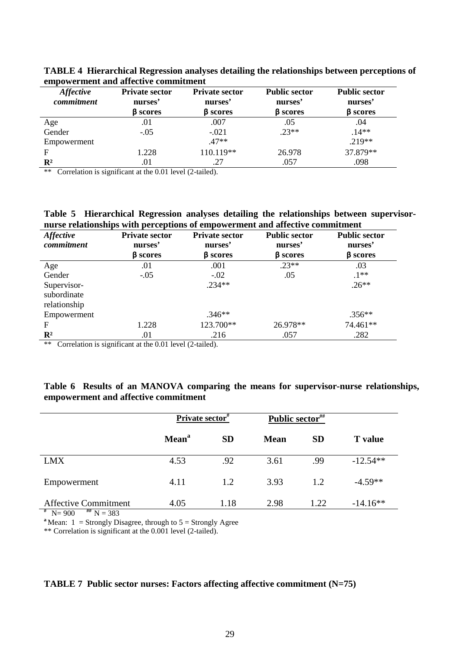| <b>Affective</b><br>commitment | <b>Private sector</b><br>nurses'<br><b>B</b> scores | <b>Private sector</b><br>nurses'<br><b>B</b> scores | <b>Public sector</b><br>nurses'<br><b>B</b> scores | <b>Public sector</b><br>nurses'<br>β scores |
|--------------------------------|-----------------------------------------------------|-----------------------------------------------------|----------------------------------------------------|---------------------------------------------|
| Age                            | .01                                                 | .007                                                | .05                                                | .04                                         |
| Gender                         | $-.05$                                              | $-.021$                                             | $.23**$                                            | $.14**$                                     |
| Empowerment                    |                                                     | $.47**$                                             |                                                    | $.219**$                                    |
| F                              | 1.228                                               | 110.119**                                           | 26.978                                             | 37.879**                                    |
| $\mathbf{R}^2$                 | .01                                                 | .27                                                 | .057                                               | .098                                        |

**TABLE 4 Hierarchical Regression analyses detailing the relationships between perceptions of empowerment and affective commitment** 

\*\* Correlation is significant at the 0.01 level (2-tailed).

**Table 5 Hierarchical Regression analyses detailing the relationships between supervisornurse relationships with perceptions of empowerment and affective commitment** 

| <b>Affective</b><br>commitment             | <b>Private sector</b><br>nurses'<br><b>B</b> scores | <b>Private sector</b><br>nurses'<br><b>B</b> scores | <b>Public sector</b><br>nurses'<br><b>B</b> scores | <b>Public sector</b><br>nurses'<br><b>B</b> scores |
|--------------------------------------------|-----------------------------------------------------|-----------------------------------------------------|----------------------------------------------------|----------------------------------------------------|
| Age                                        | .01                                                 | .001                                                | $.23**$                                            | .03                                                |
| Gender                                     | $-.05$                                              | $-.02$                                              | .05                                                | $.1**$                                             |
| Supervisor-<br>subordinate<br>relationship |                                                     | $.234**$                                            |                                                    | $.26**$                                            |
| Empowerment                                |                                                     | $.346**$                                            |                                                    | $.356**$                                           |
| F                                          | 1.228                                               | 123.700**                                           | 26.978**                                           | 74.461**                                           |
| $\mathbf{R}^2$                             | .01                                                 | .216                                                | .057                                               | .282                                               |

\*\* Correlation is significant at the 0.01 level (2-tailed).

# **Table 6 Results of an MANOVA comparing the means for supervisor-nurse relationships, empowerment and affective commitment**

|                             | <b>Private sector</b> # |           | Public sector## |           |                |
|-----------------------------|-------------------------|-----------|-----------------|-----------|----------------|
|                             | Mean <sup>a</sup>       | <b>SD</b> | <b>Mean</b>     | <b>SD</b> | <b>T</b> value |
| <b>LMX</b>                  | 4.53                    | .92       | 3.61            | .99       | $-12.54**$     |
| Empowerment                 | 4.11                    | 1.2       | 3.93            | 1.2       | $-4.59**$      |
| <b>Affective Commitment</b> | 4.05                    | 1.18      | 2.98            | 1.22      | $-14.16**$     |

 $\frac{4}{\text{N}}$  N= 900  $\frac{4\text{m}}{\text{N}}$  N = 383<br> **a**Mean: 1 = Strongly Disagree, through to 5 = Strongly Agree

\*\* Correlation is significant at the 0.001 level (2-tailed).

# **TABLE 7 Public sector nurses: Factors affecting affective commitment (N=75)**